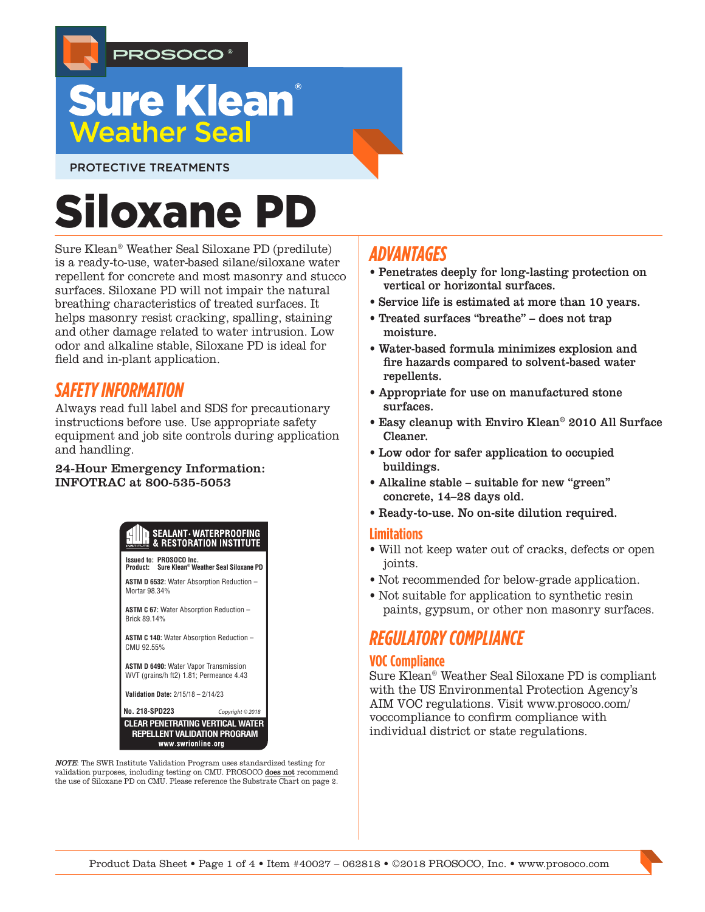

## **Sure Klean**® **Weather Seal**

PROTECTIVE TREATMENTS

# Siloxane PD

Sure Klean® Weather Seal Siloxane PD (predilute) is a ready-to-use, water-based silane/siloxane water repellent for concrete and most masonry and stucco surfaces. Siloxane PD will not impair the natural breathing characteristics of treated surfaces. It helps masonry resist cracking, spalling, staining and other damage related to water intrusion. Low odor and alkaline stable, Siloxane PD is ideal for field and in-plant application.

## *SAFETY INFORMATION*

Always read full label and SDS for precautionary instructions before use. Use appropriate safety equipment and job site controls during application and handling.

#### 24-Hour Emergency Information: INFOTRAC at 800-535-5053



NOTE: The SWR Institute Validation Program uses standardized testing for validation purposes, including testing on CMU. PROSOCO does not recommend the use of Siloxane PD on CMU. Please reference the Substrate Chart on page 2.

## *ADVANTAGES*

- Penetrates deeply for long-lasting protection on vertical or horizontal surfaces.
- Service life is estimated at more than 10 years.
- Treated surfaces "breathe" does not trap moisture.
- Water-based formula minimizes explosion and fire hazards compared to solvent-based water repellents.
- Appropriate for use on manufactured stone surfaces.
- Easy cleanup with Enviro Klean® 2010 All Surface Cleaner.
- Low odor for safer application to occupied buildings.
- Alkaline stable suitable for new "green" concrete, 14–28 days old.
- Ready-to-use. No on-site dilution required.

#### **Limitations**

- Will not keep water out of cracks, defects or open joints.
- Not recommended for below-grade application.
- Not suitable for application to synthetic resin paints, gypsum, or other non masonry surfaces.

## *REGULATORY COMPLIANCE*

## **VOC Compliance**

Sure Klean® Weather Seal Siloxane PD is compliant with the US Environmental Protection Agency's AIM VOC regulations. Visit www.prosoco.com/ voccompliance to confirm compliance with individual district or state regulations.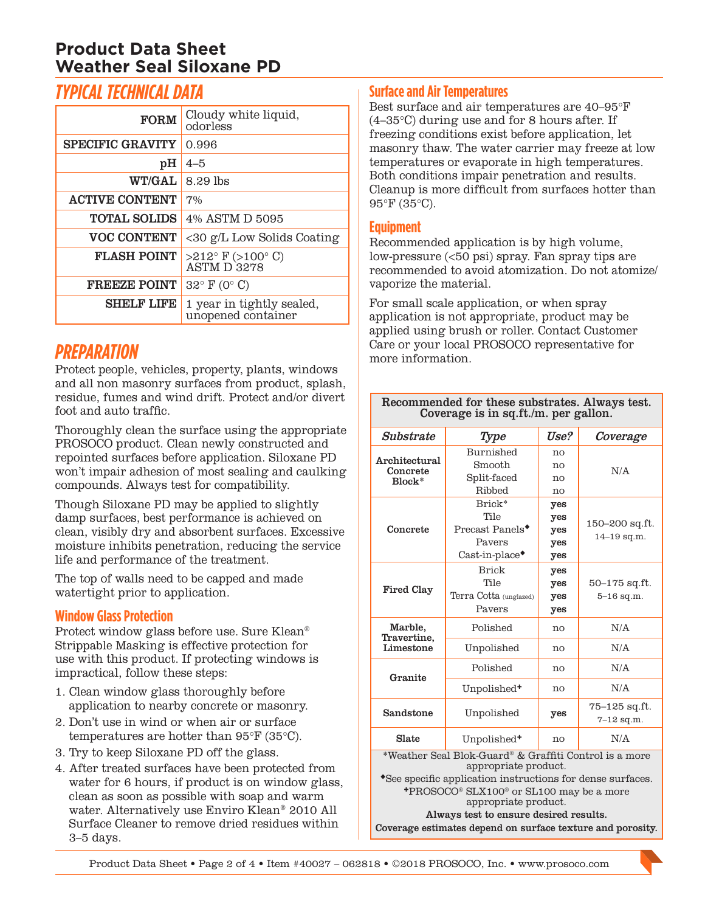## **Product Data Sheet Weather Seal Siloxane PD**

## *TYPICAL TECHNICAL DATA*

| <b>FORM</b>             | Cloudy white liquid,<br>odorless                           |  |  |
|-------------------------|------------------------------------------------------------|--|--|
| <b>SPECIFIC GRAVITY</b> | 0.996                                                      |  |  |
| pH                      | $4 - 5$                                                    |  |  |
| <b>WT/GAL</b>           | 8.29 lbs                                                   |  |  |
| <b>ACTIVE CONTENT</b>   | 7%                                                         |  |  |
| <b>TOTAL SOLIDS</b>     | 4% ASTM D 5095                                             |  |  |
| <b>VOC CONTENT</b>      | <30 g/L Low Solids Coating                                 |  |  |
| <b>FLASH POINT</b>      | $>212^{\circ}$ F ( $>100^{\circ}$ C)<br><b>ASTM D 3278</b> |  |  |
| <b>FREEZE POINT</b>     | $32^{\circ}$ F (0° C)                                      |  |  |
| <b>SHELF LIFE</b>       | 1 year in tightly sealed,<br>unopened container            |  |  |

## *PREPARATION*

Protect people, vehicles, property, plants, windows and all non masonry surfaces from product, splash, residue, fumes and wind drift. Protect and/or divert foot and auto traffic.

Thoroughly clean the surface using the appropriate PROSOCO product. Clean newly constructed and repointed surfaces before application. Siloxane PD won't impair adhesion of most sealing and caulking compounds. Always test for compatibility.

Though Siloxane PD may be applied to slightly damp surfaces, best performance is achieved on clean, visibly dry and absorbent surfaces. Excessive moisture inhibits penetration, reducing the service life and performance of the treatment.

The top of walls need to be capped and made watertight prior to application.

## **Window Glass Protection**

Protect window glass before use. Sure Klean® Strippable Masking is effective protection for use with this product. If protecting windows is impractical, follow these steps:

- 1. Clean window glass thoroughly before application to nearby concrete or masonry.
- 2. Don't use in wind or when air or surface temperatures are hotter than 95°F (35°C).
- 3. Try to keep Siloxane PD off the glass.
- 4. After treated surfaces have been protected from water for 6 hours, if product is on window glass, clean as soon as possible with soap and warm water. Alternatively use Enviro Klean® 2010 All Surface Cleaner to remove dried residues within 3–5 days.

## **Surface and Air Temperatures**

Best surface and air temperatures are 40–95°F (4–35°C) during use and for 8 hours after. If freezing conditions exist before application, let masonry thaw. The water carrier may freeze at low temperatures or evaporate in high temperatures. Both conditions impair penetration and results. Cleanup is more difficult from surfaces hotter than 95°F (35°C).

## **Equipment**

Recommended application is by high volume, low-pressure (<50 psi) spray. Fan spray tips are recommended to avoid atomization. Do not atomize/ vaporize the material.

For small scale application, or when spray application is not appropriate, product may be applied using brush or roller. Contact Customer Care or your local PROSOCO representative for more information.

| Recommended for these substrates. Always test. |
|------------------------------------------------|
| Coverage is in sq.ft./m. per gallon.           |

| Substrate                                                                                                                                    | Type                                                                                        | Use?                            | Coverage                            |  |
|----------------------------------------------------------------------------------------------------------------------------------------------|---------------------------------------------------------------------------------------------|---------------------------------|-------------------------------------|--|
| Architectural<br>Concrete<br>Block*                                                                                                          | Burnished<br>Smooth<br>Split-faced<br>Ribbed                                                | no<br>no<br>$n_{\Omega}$<br>no  | N/A                                 |  |
| Concrete                                                                                                                                     | Brick*<br>Tile<br>Precast Panels <sup>*</sup><br>Payers<br>$\text{Cast-in-place}^{\bullet}$ | yes<br>yes<br>yes<br>yes<br>yes | 150–200 sq.ft.<br>$14 - 19$ sq.m.   |  |
| Fired Clay                                                                                                                                   | <b>Brick</b><br>Tile<br>Terra Cotta (unglazed)<br>Payers                                    | yes<br>yes<br>yes<br>yes        | 50–175 sq.ft.<br>$5 - 16$ sq.m.     |  |
| Marble,<br>Travertine,<br>Limestone                                                                                                          | Polished                                                                                    | no                              | N/A                                 |  |
|                                                                                                                                              | Unpolished                                                                                  | no                              | N/A                                 |  |
| Granite                                                                                                                                      | Polished                                                                                    | no                              | N/A                                 |  |
|                                                                                                                                              | Unpolished <sup>+</sup>                                                                     | no                              | N/A                                 |  |
| Sandstone                                                                                                                                    | Unpolished                                                                                  |                                 | $75 - 125$ sq.ft.<br>$7 - 12$ sq.m. |  |
| Slate                                                                                                                                        | Unpolished <sup>+</sup>                                                                     | no                              | N/A                                 |  |
| *Weather Seal Blok-Guard® & Graffiti Control is a more<br>appropriate product.<br>*See specific application instructions for dense surfaces. |                                                                                             |                                 |                                     |  |

PROSOCO® SLX100® or SL100 may be a more appropriate product.

Always test to ensure desired results. Coverage estimates depend on surface texture and porosity.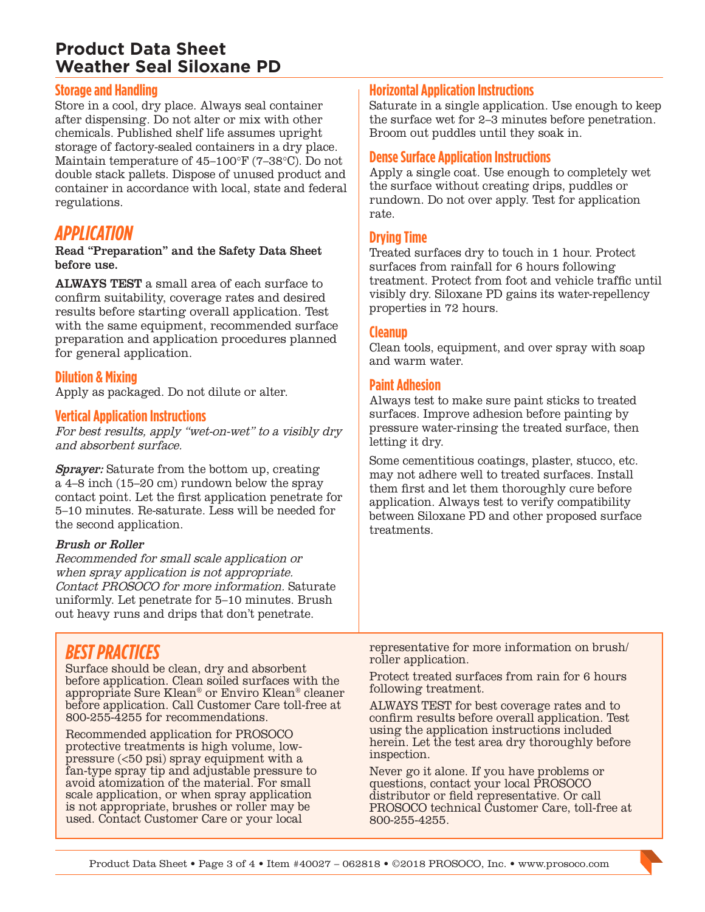## **Product Data Sheet Weather Seal Siloxane PD**

#### **Storage and Handling**

Store in a cool, dry place. Always seal container after dispensing. Do not alter or mix with other chemicals. Published shelf life assumes upright storage of factory-sealed containers in a dry place. Maintain temperature of 45–100°F (7–38°C). Do not double stack pallets. Dispose of unused product and container in accordance with local, state and federal regulations.

## *APPLICATION*

#### Read "Preparation" and the Safety Data Sheet before use.

ALWAYS TEST a small area of each surface to confirm suitability, coverage rates and desired results before starting overall application. Test with the same equipment, recommended surface preparation and application procedures planned for general application.

#### **Dilution & Mixing**

Apply as packaged. Do not dilute or alter.

#### **Vertical Application Instructions**

For best results, apply "wet-on-wet" to a visibly dry and absorbent surface.

Sprayer: Saturate from the bottom up, creating a 4–8 inch (15–20 cm) rundown below the spray contact point. Let the first application penetrate for 5–10 minutes. Re-saturate. Less will be needed for the second application.

#### Brush or Roller

Recommended for small scale application or when spray application is not appropriate. Contact PROSOCO for more information. Saturate uniformly. Let penetrate for 5–10 minutes. Brush out heavy runs and drips that don't penetrate.

#### **Horizontal Application Instructions**

Saturate in a single application. Use enough to keep the surface wet for 2–3 minutes before penetration. Broom out puddles until they soak in.

#### **Dense Surface Application Instructions**

Apply a single coat. Use enough to completely wet the surface without creating drips, puddles or rundown. Do not over apply. Test for application rate.

#### **Drying Time**

Treated surfaces dry to touch in 1 hour. Protect surfaces from rainfall for 6 hours following treatment. Protect from foot and vehicle traffic until visibly dry. Siloxane PD gains its water-repellency properties in 72 hours.

#### **Cleanup**

Clean tools, equipment, and over spray with soap and warm water.

#### **Paint Adhesion**

Always test to make sure paint sticks to treated surfaces. Improve adhesion before painting by pressure water-rinsing the treated surface, then letting it dry.

Some cementitious coatings, plaster, stucco, etc. may not adhere well to treated surfaces. Install them first and let them thoroughly cure before application. Always test to verify compatibility between Siloxane PD and other proposed surface treatments.

## *BEST PRACTICES*

Surface should be clean, dry and absorbent before application. Clean soiled surfaces with the appropriate Sure Klean® or Enviro Klean® cleaner before application. Call Customer Care toll-free at 800-255-4255 for recommendations.

Recommended application for PROSOCO protective treatments is high volume, lowpressure (<50 psi) spray equipment with a fan-type spray tip and adjustable pressure to avoid atomization of the material. For small scale application, or when spray application is not appropriate, brushes or roller may be used. Contact Customer Care or your local

representative for more information on brush/ roller application.

Protect treated surfaces from rain for 6 hours following treatment.

ALWAYS TEST for best coverage rates and to confirm results before overall application. Test using the application instructions included herein. Let the test area dry thoroughly before inspection.

Never go it alone. If you have problems or questions, contact your local PROSOCO distributor or field representative. Or call PROSOCO technical Customer Care, toll-free at 800-255-4255.